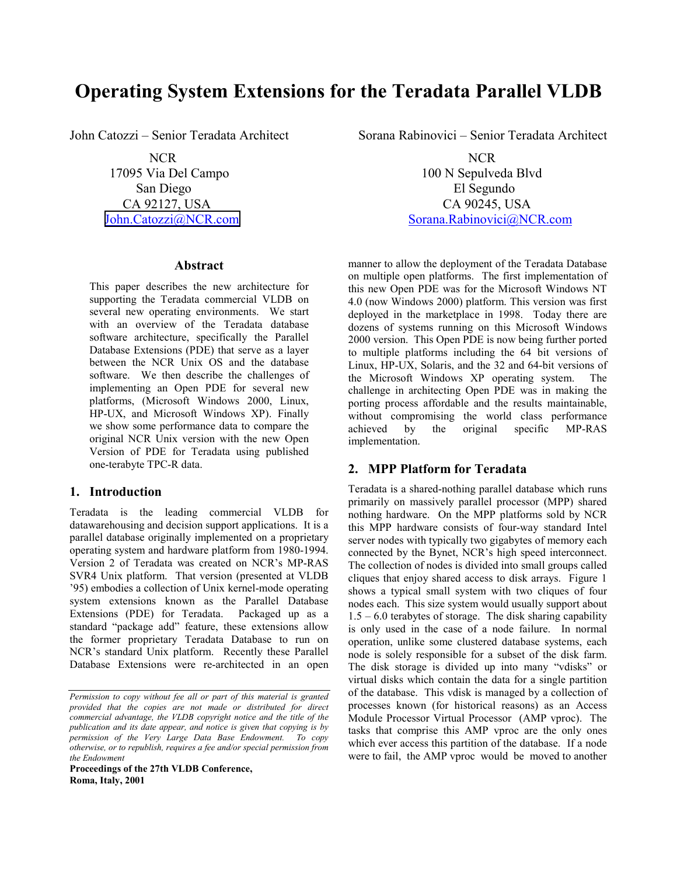# **Operating System Extensions for the Teradata Parallel VLDB**

#### **Abstract**

This paper describes the new architecture for supporting the Teradata commercial VLDB on several new operating environments. We start with an overview of the Teradata database software architecture, specifically the Parallel Database Extensions (PDE) that serve as a layer between the NCR Unix OS and the database software. We then describe the challenges of implementing an Open PDE for several new platforms, (Microsoft Windows 2000, Linux, HP-UX, and Microsoft Windows XP). Finally we show some performance data to compare the original NCR Unix version with the new Open Version of PDE for Teradata using published one-terabyte TPC-R data.

## **1. Introduction**

Teradata is the leading commercial VLDB for datawarehousing and decision support applications. It is a parallel database originally implemented on a proprietary operating system and hardware platform from 1980-1994. Version 2 of Teradata was created on NCR's MP-RAS SVR4 Unix platform. That version (presented at VLDB '95) embodies a collection of Unix kernel-mode operating system extensions known as the Parallel Database Extensions (PDE) for Teradata. Packaged up as a standard "package add" feature, these extensions allow the former proprietary Teradata Database to run on NCR's standard Unix platform. Recently these Parallel Database Extensions were re-architected in an open

**Proceedings of the 27th VLDB Conference, Roma, Italy, 2001**

John Catozzi – Senior Teradata Architect Sorana Rabinovici – Senior Teradata Architect

NCR NCR 17095 Via Del Campo 100 N Sepulveda Blvd San Diego El Segundo CA 92127, USA CA 90245, USA [John.Catozzi@NCR.com](mailto:John.Catozzi@NCR.com) Sorana.Rabinovici@NCR.com

> manner to allow the deployment of the Teradata Database on multiple open platforms. The first implementation of this new Open PDE was for the Microsoft Windows NT 4.0 (now Windows 2000) platform. This version was first deployed in the marketplace in 1998. Today there are dozens of systems running on this Microsoft Windows 2000 version. This Open PDE is now being further ported to multiple platforms including the 64 bit versions of Linux, HP-UX, Solaris, and the 32 and 64-bit versions of the Microsoft Windows XP operating system. The challenge in architecting Open PDE was in making the porting process affordable and the results maintainable, without compromising the world class performance achieved by the original specific MP-RAS implementation.

## **2. MPP Platform for Teradata**

Teradata is a shared-nothing parallel database which runs primarily on massively parallel processor (MPP) shared nothing hardware. On the MPP platforms sold by NCR this MPP hardware consists of four-way standard Intel server nodes with typically two gigabytes of memory each connected by the Bynet, NCR's high speed interconnect. The collection of nodes is divided into small groups called cliques that enjoy shared access to disk arrays. Figure 1 shows a typical small system with two cliques of four nodes each. This size system would usually support about  $1.5 - 6.0$  terabytes of storage. The disk sharing capability is only used in the case of a node failure. In normal operation, unlike some clustered database systems, each node is solely responsible for a subset of the disk farm. The disk storage is divided up into many "vdisks" or virtual disks which contain the data for a single partition of the database. This vdisk is managed by a collection of processes known (for historical reasons) as an Access Module Processor Virtual Processor (AMP vproc). The tasks that comprise this AMP vproc are the only ones which ever access this partition of the database. If a node were to fail, the AMP vproc would be moved to another

*Permission to copy without fee all or part of this material is granted provided that the copies are not made or distributed for direct commercial advantage, the VLDB copyright notice and the title of the publication and its date appear, and notice is given that copying is by permission of the Very Large Data Base Endowment. To copy otherwise, or to republish, requires a fee and/or special permission from the Endowment*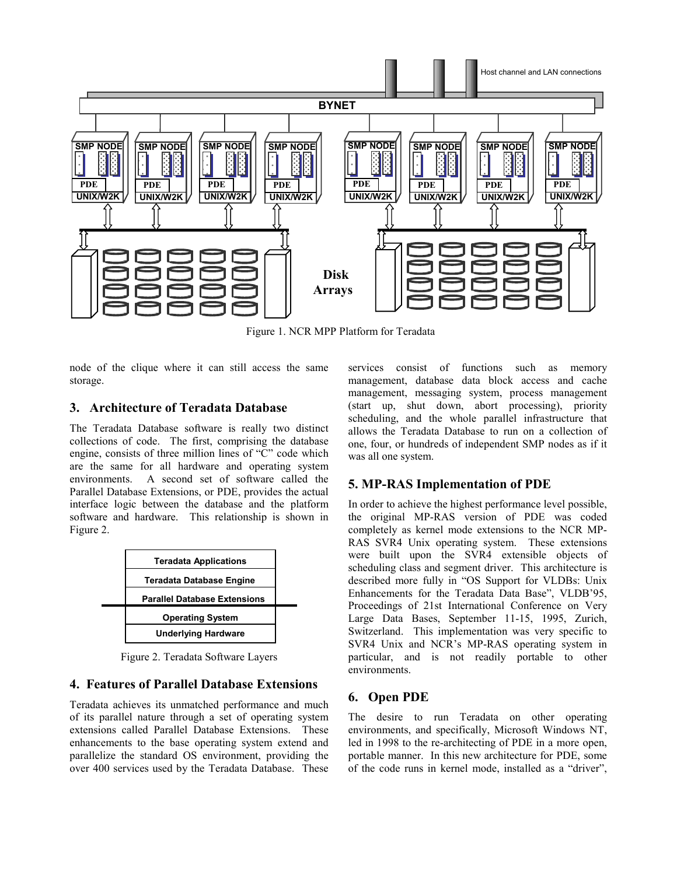

Figure 1. NCR MPP Platform for Teradata

node of the clique where it can still access the same storage.

## **3. Architecture of Teradata Database**

The Teradata Database software is really two distinct collections of code. The first, comprising the database engine, consists of three million lines of "C" code which are the same for all hardware and operating system environments. A second set of software called the Parallel Database Extensions, or PDE, provides the actual interface logic between the database and the platform software and hardware. This relationship is shown in Figure 2.



Figure 2. Teradata Software Layers

# **4. Features of Parallel Database Extensions**

Teradata achieves its unmatched performance and much of its parallel nature through a set of operating system extensions called Parallel Database Extensions. These enhancements to the base operating system extend and parallelize the standard OS environment, providing the over 400 services used by the Teradata Database. These

services consist of functions such as memory management, database data block access and cache management, messaging system, process management (start up, shut down, abort processing), priority scheduling, and the whole parallel infrastructure that allows the Teradata Database to run on a collection of one, four, or hundreds of independent SMP nodes as if it was all one system.

# **5. MP-RAS Implementation of PDE**

In order to achieve the highest performance level possible, the original MP-RAS version of PDE was coded completely as kernel mode extensions to the NCR MP-RAS SVR4 Unix operating system. These extensions were built upon the SVR4 extensible objects of scheduling class and segment driver. This architecture is described more fully in "OS Support for VLDBs: Unix Enhancements for the Teradata Data Base", VLDB'95, Proceedings of 21st International Conference on Very Large Data Bases, September 11-15, 1995, Zurich, Switzerland. This implementation was very specific to SVR4 Unix and NCR's MP-RAS operating system in particular, and is not readily portable to other environments.

# **6. Open PDE**

The desire to run Teradata on other operating environments, and specifically, Microsoft Windows NT, led in 1998 to the re-architecting of PDE in a more open, portable manner. In this new architecture for PDE, some of the code runs in kernel mode, installed as a "driver",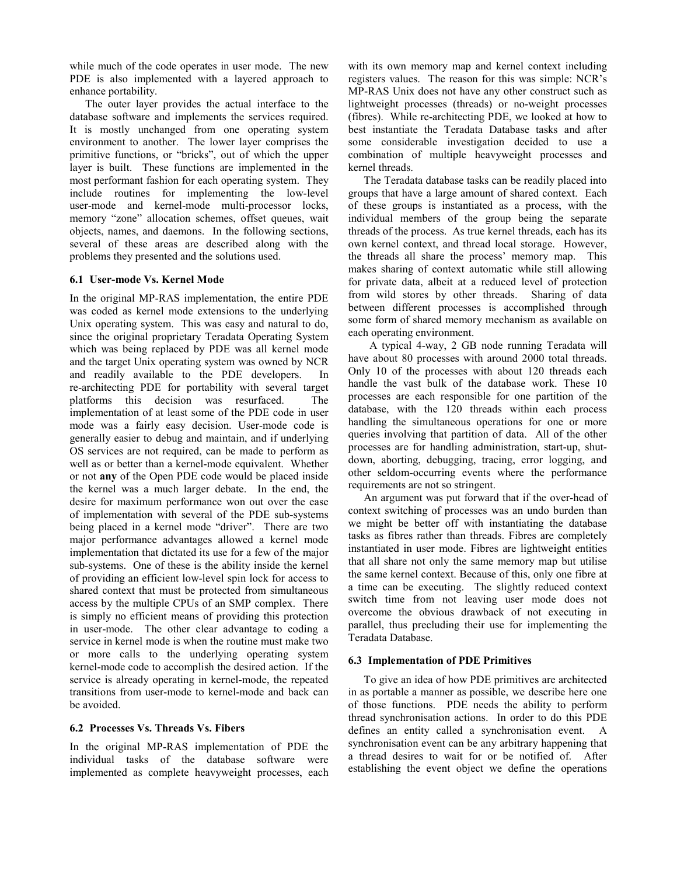while much of the code operates in user mode. The new PDE is also implemented with a layered approach to enhance portability.

The outer layer provides the actual interface to the database software and implements the services required. It is mostly unchanged from one operating system environment to another. The lower layer comprises the primitive functions, or "bricks", out of which the upper layer is built. These functions are implemented in the most performant fashion for each operating system. They include routines for implementing the low-level user-mode and kernel-mode multi-processor locks, memory "zone" allocation schemes, offset queues, wait objects, names, and daemons. In the following sections, several of these areas are described along with the problems they presented and the solutions used.

#### **6.1 User-mode Vs. Kernel Mode**

In the original MP-RAS implementation, the entire PDE was coded as kernel mode extensions to the underlying Unix operating system. This was easy and natural to do, since the original proprietary Teradata Operating System which was being replaced by PDE was all kernel mode and the target Unix operating system was owned by NCR and readily available to the PDE developers. In re-architecting PDE for portability with several target platforms this decision was resurfaced. The implementation of at least some of the PDE code in user mode was a fairly easy decision. User-mode code is generally easier to debug and maintain, and if underlying OS services are not required, can be made to perform as well as or better than a kernel-mode equivalent. Whether or not **any** of the Open PDE code would be placed inside the kernel was a much larger debate. In the end, the desire for maximum performance won out over the ease of implementation with several of the PDE sub-systems being placed in a kernel mode "driver". There are two major performance advantages allowed a kernel mode implementation that dictated its use for a few of the major sub-systems. One of these is the ability inside the kernel of providing an efficient low-level spin lock for access to shared context that must be protected from simultaneous access by the multiple CPUs of an SMP complex. There is simply no efficient means of providing this protection in user-mode. The other clear advantage to coding a service in kernel mode is when the routine must make two or more calls to the underlying operating system kernel-mode code to accomplish the desired action. If the service is already operating in kernel-mode, the repeated transitions from user-mode to kernel-mode and back can be avoided.

#### **6.2 Processes Vs. Threads Vs. Fibers**

In the original MP-RAS implementation of PDE the individual tasks of the database software were implemented as complete heavyweight processes, each with its own memory map and kernel context including registers values. The reason for this was simple: NCR's MP-RAS Unix does not have any other construct such as lightweight processes (threads) or no-weight processes (fibres). While re-architecting PDE, we looked at how to best instantiate the Teradata Database tasks and after some considerable investigation decided to use a combination of multiple heavyweight processes and kernel threads.

The Teradata database tasks can be readily placed into groups that have a large amount of shared context. Each of these groups is instantiated as a process, with the individual members of the group being the separate threads of the process. As true kernel threads, each has its own kernel context, and thread local storage. However, the threads all share the process' memory map. This makes sharing of context automatic while still allowing for private data, albeit at a reduced level of protection from wild stores by other threads. Sharing of data between different processes is accomplished through some form of shared memory mechanism as available on each operating environment.

 A typical 4-way, 2 GB node running Teradata will have about 80 processes with around 2000 total threads. Only 10 of the processes with about 120 threads each handle the vast bulk of the database work. These 10 processes are each responsible for one partition of the database, with the 120 threads within each process handling the simultaneous operations for one or more queries involving that partition of data. All of the other processes are for handling administration, start-up, shutdown, aborting, debugging, tracing, error logging, and other seldom-occurring events where the performance requirements are not so stringent.

An argument was put forward that if the over-head of context switching of processes was an undo burden than we might be better off with instantiating the database tasks as fibres rather than threads. Fibres are completely instantiated in user mode. Fibres are lightweight entities that all share not only the same memory map but utilise the same kernel context. Because of this, only one fibre at a time can be executing. The slightly reduced context switch time from not leaving user mode does not overcome the obvious drawback of not executing in parallel, thus precluding their use for implementing the Teradata Database.

#### **6.3 Implementation of PDE Primitives**

To give an idea of how PDE primitives are architected in as portable a manner as possible, we describe here one of those functions. PDE needs the ability to perform thread synchronisation actions. In order to do this PDE defines an entity called a synchronisation event. A synchronisation event can be any arbitrary happening that a thread desires to wait for or be notified of. After establishing the event object we define the operations